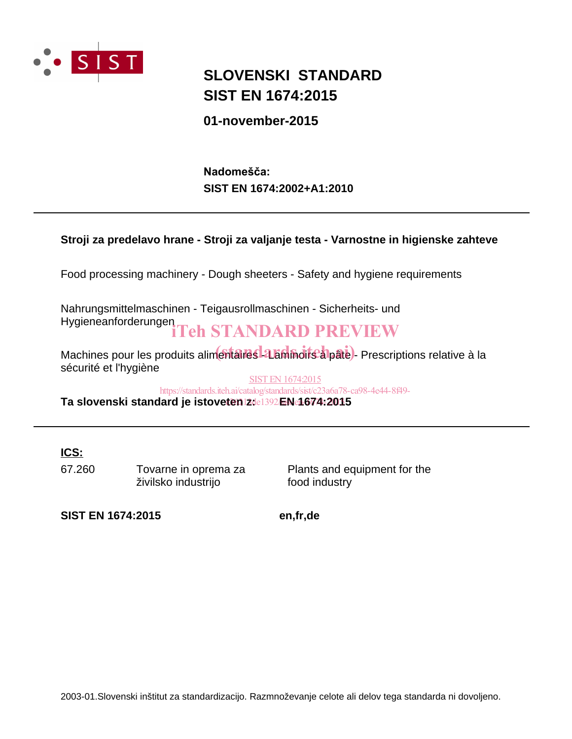

## **SIST EN 1674:2015 SLOVENSKI STANDARD**

**01-november-2015**

**SIST EN 1674:2002+A1:2010** Nadomešča:

#### **Stroji za predelavo hrane - Stroji za valjanje testa - Varnostne in higienske zahteve**

Food processing machinery - Dough sheeters - Safety and hygiene requirements

Nahrungsmittelmaschinen - Teigausrollmaschinen - Sicherheits- und Hygieneanforderungen iTeh STANDARD PREVIEW

Machines pour les produits alimentaires - Laminoirs à pate) Prescriptions relative à la sécurité et l'hygiène

SIST EN 1674:2015

https://standards.iteh.ai/catalog/standards/sist/c23a6a78-ca98-4e44-8f49-

**Ta slovenski standard je istoveten z: EN 1674:2015** e36213de1392/sist-en-1674-2015

**ICS:**

67.260 Tovarne in oprema za živilsko industrijo

Plants and equipment for the food industry

**SIST EN 1674:2015 en,fr,de**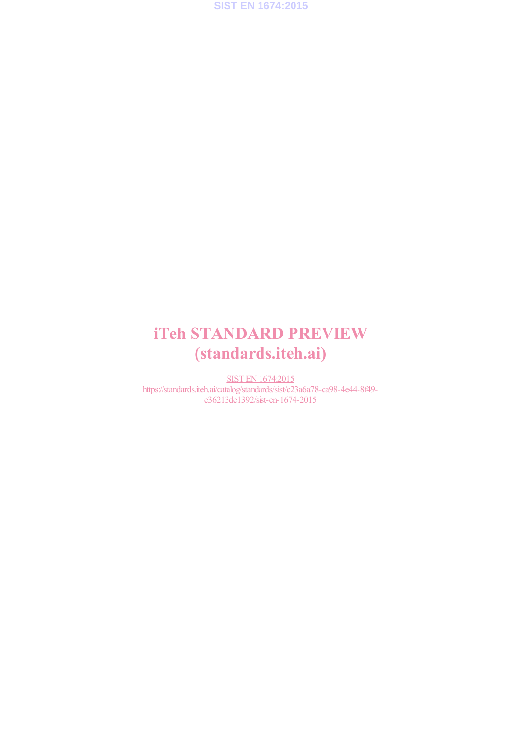

# iTeh STANDARD PREVIEW (standards.iteh.ai)

SIST EN 1674:2015 https://standards.iteh.ai/catalog/standards/sist/c23a6a78-ca98-4e44-8f49 e36213de1392/sist-en-1674-2015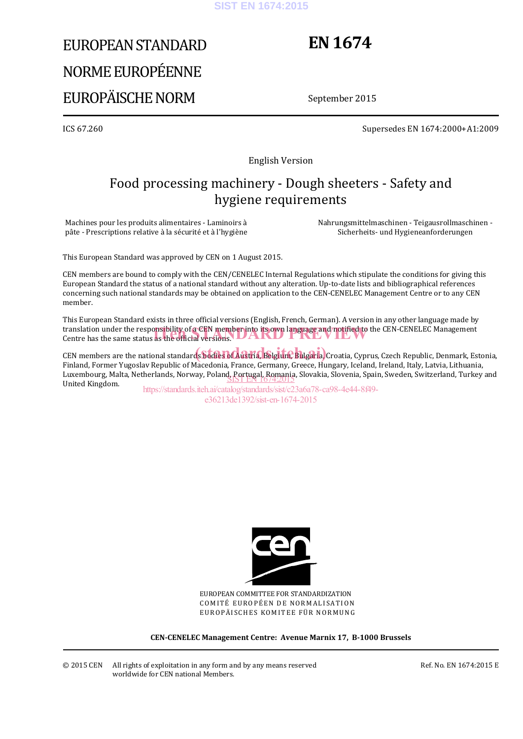#### **SIST EN 1674:2015**

# EUROPEAN STANDARD NORME EUROPÉENNE EUROPÄISCHE NORM

# **EN 1674**

September 2015

ICS 67.260 Supersedes EN 1674:2000+A1:2009

English Version

### Food processing machinery - Dough sheeters - Safety and hygiene requirements

Machines pour les produits alimentaires - Laminoirs à pâte - Prescriptions relative à la sécurité et à l'hygiène  Nahrungsmittelmaschinen - Teigausrollmaschinen - Sicherheits- und Hygieneanforderungen

This European Standard was approved by CEN on 1 August 2015.

CEN members are bound to comply with the CEN/CENELEC Internal Regulations which stipulate the conditions for giving this European Standard the status of a national standard without any alteration. Up-to-date lists and bibliographical references concerning such national standards may be obtained on application to the CEN-CENELEC Management Centre or to any CEN member.

This European Standard exists in three official versions (English, French, German). A version in any other language made by translation under the responsibility of a CEN member into its own language and notified to the CEN-CENELEC Management<br>Centre has the same status as the official versions. Centre has the same status as the official versions. **UARD** 

CEN members are the national standards bodies of Austria, Belgium, Bulgaria, Croatia, Cyprus, Czech Republic, Denmark, Estonia, Finland, Former Yugoslav Republic of Macedonia, France, Germany, Greece, Hungary, Iceland, Ireland, Italy, Latvia, Lithuania, Luxembourg, Malta, Netherlands, Norway, Poland, Portugal, Romania, Slovakia, Slovenia, Spain, Sweden, Switzerland, Turkey and<br>United Kingdom United Kingdom.

https://standards.iteh.ai/catalog/standards/sist/c23a6a78-ca98-4e44-8f49 e36213de1392/sist-en-1674-2015



EUROPEAN COMMITTEE FOR STANDARDIZATION COMITÉ EUROPÉEN DE NORMALISATION EUROPÄISCHES KOMITEE FÜR NORMUNG

**CEN-CENELEC Management Centre: Avenue Marnix 17, B-1000 Brussels**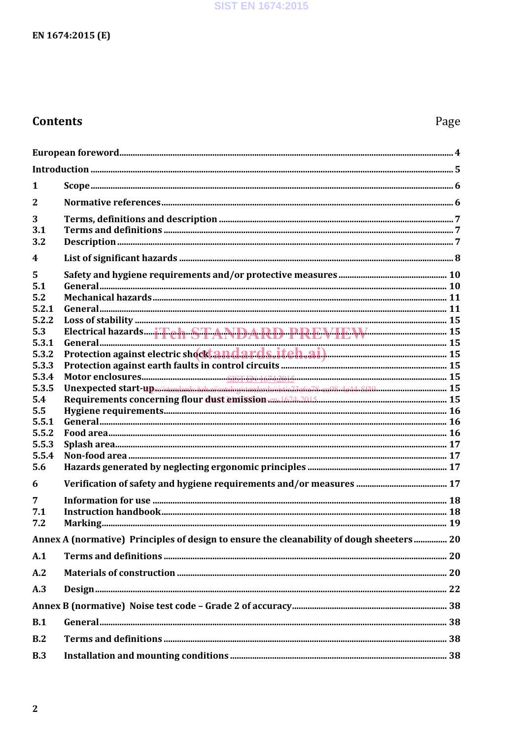## **Contents**

### Page

| 1                       |                                                                                           |  |
|-------------------------|-------------------------------------------------------------------------------------------|--|
| $\overline{2}$          |                                                                                           |  |
| 3                       |                                                                                           |  |
| 3.1                     |                                                                                           |  |
| 3.2                     |                                                                                           |  |
| $\overline{\mathbf{4}}$ |                                                                                           |  |
| 5                       |                                                                                           |  |
| 5.1                     |                                                                                           |  |
| 5.2                     |                                                                                           |  |
| 5.2.1                   |                                                                                           |  |
| 5.2.2                   |                                                                                           |  |
| 5.3                     |                                                                                           |  |
| 5.3.1                   |                                                                                           |  |
| 5.3.2                   |                                                                                           |  |
| 5.3.3                   |                                                                                           |  |
| 5.3.4                   |                                                                                           |  |
| 5.3.5                   |                                                                                           |  |
| 5.4                     |                                                                                           |  |
| 5.5                     |                                                                                           |  |
| 5.5.1                   |                                                                                           |  |
| 5.5.2                   |                                                                                           |  |
| 5.5.3                   |                                                                                           |  |
| 5.5.4                   |                                                                                           |  |
| 5.6                     |                                                                                           |  |
| 6                       |                                                                                           |  |
| 7                       |                                                                                           |  |
| 7.1                     |                                                                                           |  |
| 7.2                     |                                                                                           |  |
|                         | Annex A (normative) Principles of design to ensure the cleanability of dough sheeters  20 |  |
| A.1                     |                                                                                           |  |
| A.2                     |                                                                                           |  |
| A.3                     |                                                                                           |  |
|                         |                                                                                           |  |
| B.1                     |                                                                                           |  |
| B.2                     |                                                                                           |  |
| B.3                     |                                                                                           |  |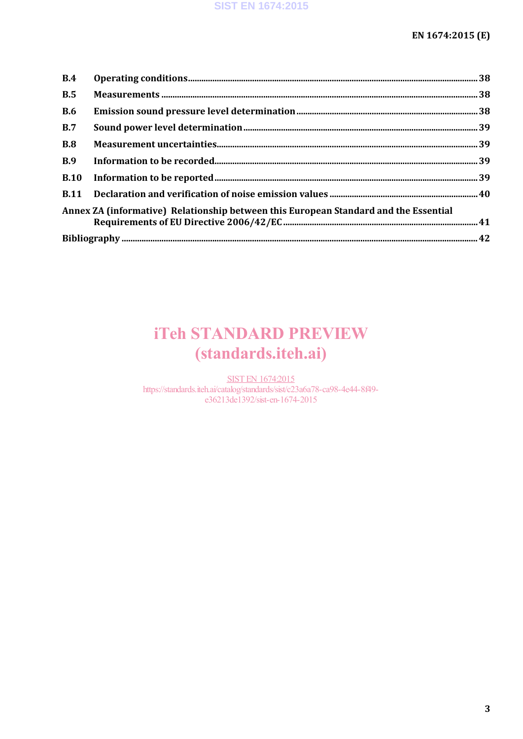| B.4        |                                                                                      |  |
|------------|--------------------------------------------------------------------------------------|--|
| B.5        |                                                                                      |  |
| <b>B.6</b> |                                                                                      |  |
| B.7        |                                                                                      |  |
| B.8        |                                                                                      |  |
| B.9        |                                                                                      |  |
|            |                                                                                      |  |
|            |                                                                                      |  |
|            | Annex ZA (informative) Relationship between this European Standard and the Essential |  |
|            |                                                                                      |  |
|            |                                                                                      |  |

# iTeh STANDARD PREVIEW (standards.iteh.ai)

SIST EN 1674:2015 https://standards.iteh.ai/catalog/standards/sist/c23a6a78-ca98-4e44-8f49 e36213de1392/sist-en-1674-2015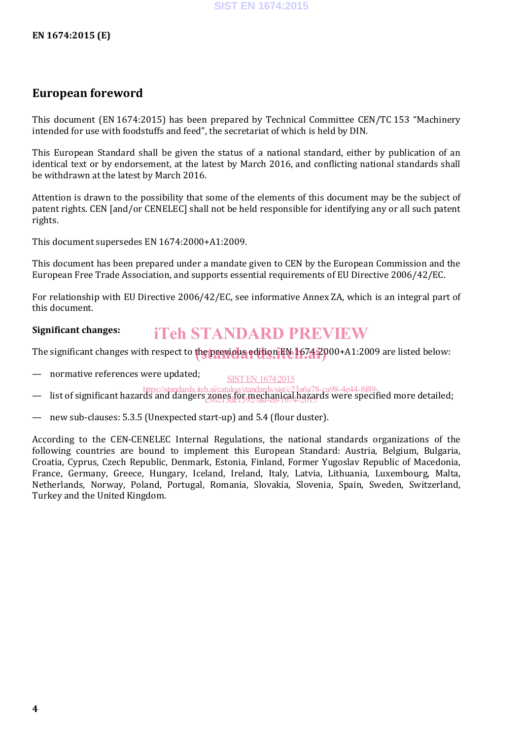### **European foreword**

This document (EN 1674:2015) has been prepared by Technical Committee CEN/TC 153 "Machinery intended for use with foodstuffs and feed", the secretariat of which is held by DIN.

This European Standard shall be given the status of a national standard, either by publication of an identical text or by endorsement, at the latest by March 2016, and conflicting national standards shall be withdrawn at the latest by March 2016.

Attention is drawn to the possibility that some of the elements of this document may be the subject of patent rights. CEN [and/or CENELEC] shall not be held responsible for identifying any or all such patent rights.

This document supersedes EN 1674:2000+A1:2009.

This document has been prepared under a mandate given to CEN by the European Commission and the European Free Trade Association, and supports essential requirements of EU Directive 2006/42/EC.

For relationship with EU Directive 2006/42/EC, see informative Annex ZA, which is an integral part of this document.

#### **Significant changes:** iTeh STANDARD PREVIEW

The significant changes with respect to the previous edition EN 1674:2000+A1:2009 are listed below:

- normative references were updated; SIST EN 1674:2015
- list of significant hazards and dangers zones for mechanical hazards were specified more detailed; https://standards.iteh.ai/catalog/standards/sist/c23a6a78-ca98-4e44-8f49 e36213de1392/sist-en-1674-2015
- new sub-clauses: 5.3.5 (Unexpected start-up) and 5.4 (flour duster).

According to the CEN-CENELEC Internal Regulations, the national standards organizations of the following countries are bound to implement this European Standard: Austria, Belgium, Bulgaria, Croatia, Cyprus, Czech Republic, Denmark, Estonia, Finland, Former Yugoslav Republic of Macedonia, France, Germany, Greece, Hungary, Iceland, Ireland, Italy, Latvia, Lithuania, Luxembourg, Malta, Netherlands, Norway, Poland, Portugal, Romania, Slovakia, Slovenia, Spain, Sweden, Switzerland, Turkey and the United Kingdom.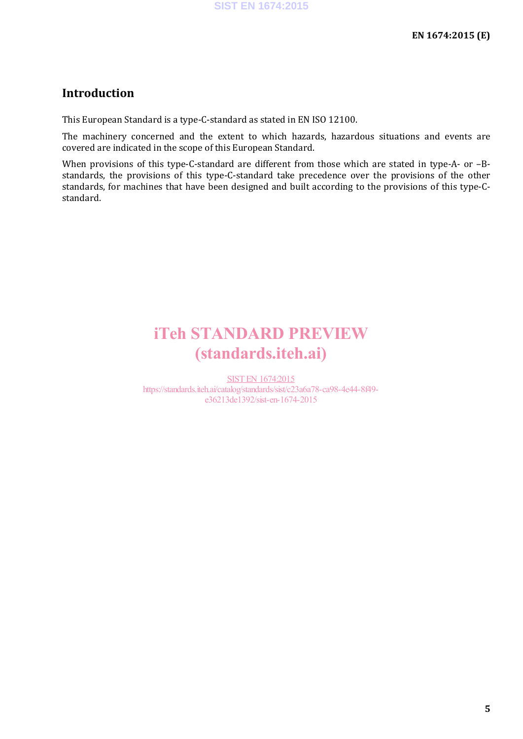### **Introduction**

This European Standard is a type-C-standard as stated in EN ISO 12100.

The machinery concerned and the extent to which hazards, hazardous situations and events are covered are indicated in the scope of this European Standard.

When provisions of this type-C-standard are different from those which are stated in type-A- or -Bstandards, the provisions of this type-C-standard take precedence over the provisions of the other standards, for machines that have been designed and built according to the provisions of this type-Cstandard.

## iTeh STANDARD PREVIEW (standards.iteh.ai)

SIST EN 1674:2015 https://standards.iteh.ai/catalog/standards/sist/c23a6a78-ca98-4e44-8f49 e36213de1392/sist-en-1674-2015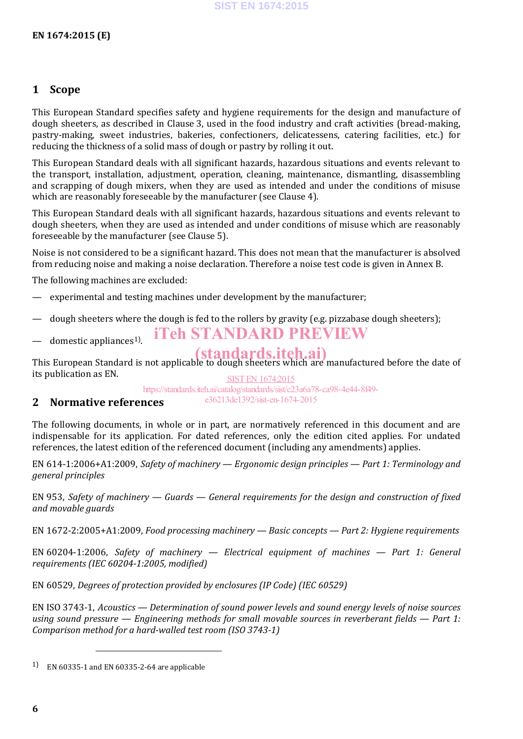#### **1 Scope**

This European Standard specifies safety and hygiene requirements for the design and manufacture of dough sheeters, as described in Clause 3, used in the food industry and craft activities (bread-making, pastry-making, sweet industries, bakeries, confectioners, delicatessens, catering facilities, etc.) for reducing the thickness of a solid mass of dough or pastry by rolling it out.

This European Standard deals with all significant hazards, hazardous situations and events relevant to the transport, installation, adjustment, operation, cleaning, maintenance, dismantling, disassembling and scrapping of dough mixers, when they are used as intended and under the conditions of misuse which are reasonably foreseeable by the manufacturer (see Clause 4).

This European Standard deals with all significant hazards, hazardous situations and events relevant to dough sheeters, when they are used as intended and under conditions of misuse which are reasonably foreseeable by the manufacturer (see Clause 5).

Noise is not considered to be a significant hazard. This does not mean that the manufacturer is absolved from reducing noise and making a noise declaration. Therefore a noise test code is given in Annex B.

The following machines are excluded:

- experimental and testing machines under development by the manufacturer;
- dough sheeters where the dough is fed to the rollers by gravity (e.g. pizzabase dough sheeters);
- domestic appliances<sup>1)</sup>.

(standards.iteh.ai)

iTeh STANDARD PREVIEW

This European Standard is not applicable to dough sheeters which are manufactured before the date of its publication as EN. SIST EN 1674:2015

https://standards.iteh.ai/catalog/standards/sist/c23a6a78-ca98-4e44-8f49 e36213de1392/sist-en-1674-2015

#### **2 Normative references**

The following documents, in whole or in part, are normatively referenced in this document and are indispensable for its application. For dated references, only the edition cited applies. For undated references, the latest edition of the referenced document (including any amendments) applies.

EN 614-1:2006+A1:2009, *Safety of machinery — Ergonomic design principles — Part 1: Terminology and general principles*

EN 953, *Safety of machinery — Guards — General requirements for the design and construction of fixed and movable guards*

EN 1672-2:2005+A1:2009, *Food processing machinery — Basic concepts — Part 2: Hygiene requirements*

EN 60204-1:2006, *Safety of machinery — Electrical equipment of machines — Part 1: General requirements (IEC 60204-1:2005, modified)*

EN 60529, *Degrees of protection provided by enclosures (IP Code) (IEC 60529)*

EN ISO 3743-1, *Acoustics — Determination of sound power levels and sound energy levels of noise sources using sound pressure — Engineering methods for small movable sources in reverberant fields — Part 1: Comparison method for a hard-walled test room (ISO 3743-1)*

j

<sup>1)</sup> EN 60335-1 and EN 60335-2-64 are applicable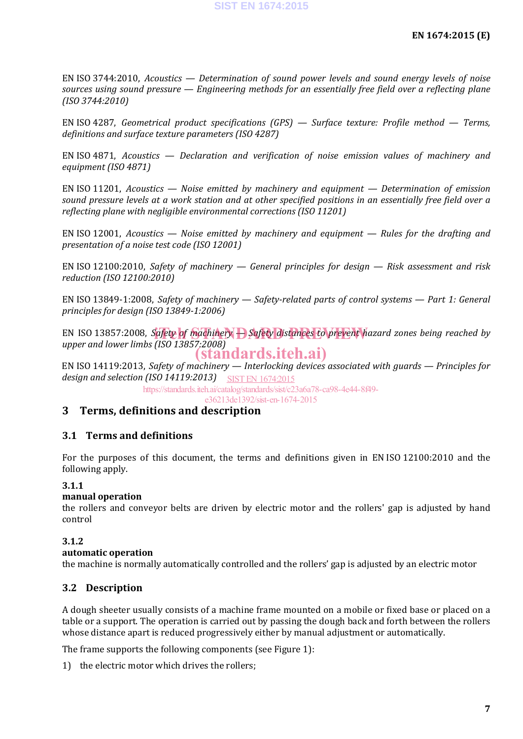EN ISO 3744:2010, *Acoustics — Determination of sound power levels and sound energy levels of noise sources using sound pressure — Engineering methods for an essentially free field over a reflecting plane (ISO 3744:2010)*

EN ISO 4287, *Geometrical product specifications (GPS) — Surface texture: Profile method — Terms, definitions and surface texture parameters (ISO 4287)*

EN ISO 4871, *Acoustics — Declaration and verification of noise emission values of machinery and equipment (ISO 4871)*

EN ISO 11201, *Acoustics — Noise emitted by machinery and equipment — Determination of emission sound pressure levels at a work station and at other specified positions in an essentially free field over a reflecting plane with negligible environmental corrections (ISO 11201)*

EN ISO 12001, *Acoustics — Noise emitted by machinery and equipment — Rules for the drafting and presentation of a noise test code (ISO 12001)*

EN ISO 12100:2010, *Safety of machinery — General principles for design — Risk assessment and risk reduction (ISO 12100:2010)*

EN ISO 13849-1:2008, *Safety of machinery — Safety-related parts of control systems — Part 1: General principles for design (ISO 13849-1:2006)*

EN ISO 13857:2008, Safety of machinery **| | Safety distances to prevent hazard zones being reached by** <br>
inner and lawer limbs (ISO 13957-3009) *upper and lower limbs (ISO 13857:2008)* (standards.iteh.ai)

EN ISO 14119:2013, *Safety of machinery — Interlocking devices associated with guards — Principles for design and selection (ISO 14119:2013)* SIST EN 1674:2015

https://standards.iteh.ai/catalog/standards/sist/c23a6a78-ca98-4e44-8f49-

e36213de1392/sist-en-1674-2015

#### **3 Terms, definitions and description**

#### **3.1 Terms and definitions**

For the purposes of this document, the terms and definitions given in EN ISO 12100:2010 and the following apply.

#### **3.1.1**

#### **manual operation**

the rollers and conveyor belts are driven by electric motor and the rollers' gap is adjusted by hand control

#### **3.1.2**

#### **automatic operation**

the machine is normally automatically controlled and the rollers' gap is adjusted by an electric motor

#### **3.2 Description**

A dough sheeter usually consists of a machine frame mounted on a mobile or fixed base or placed on a table or a support. The operation is carried out by passing the dough back and forth between the rollers whose distance apart is reduced progressively either by manual adjustment or automatically.

The frame supports the following components (see Figure 1):

1) the electric motor which drives the rollers;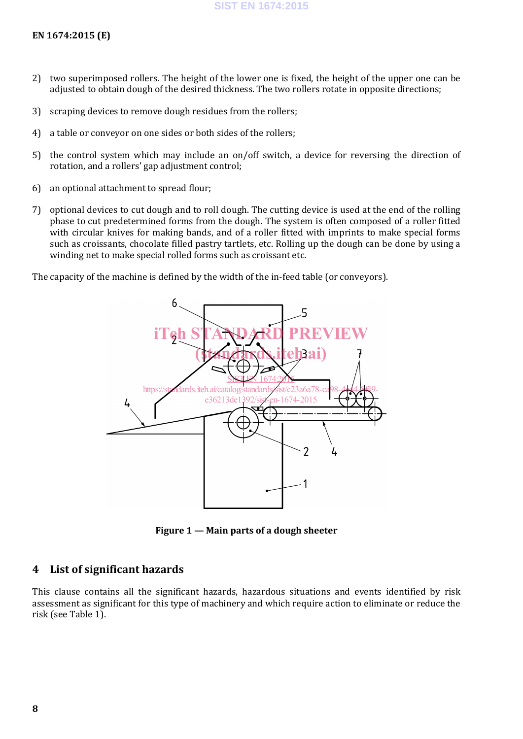- 2) two superimposed rollers. The height of the lower one is fixed, the height of the upper one can be adjusted to obtain dough of the desired thickness. The two rollers rotate in opposite directions;
- 3) scraping devices to remove dough residues from the rollers;
- 4) a table or conveyor on one sides or both sides of the rollers;
- 5) the control system which may include an on/off switch, a device for reversing the direction of rotation, and a rollers' gap adjustment control;
- 6) an optional attachment to spread flour;
- 7) optional devices to cut dough and to roll dough. The cutting device is used at the end of the rolling phase to cut predetermined forms from the dough. The system is often composed of a roller fitted with circular knives for making bands, and of a roller fitted with imprints to make special forms such as croissants, chocolate filled pastry tartlets, etc. Rolling up the dough can be done by using a winding net to make special rolled forms such as croissant etc.

The capacity of the machine is defined by the width of the in-feed table (or conveyors).



**Figure 1 — Main parts of a dough sheeter**

#### **4 List of significant hazards**

This clause contains all the significant hazards, hazardous situations and events identified by risk assessment as significant for this type of machinery and which require action to eliminate or reduce the risk (see Table 1).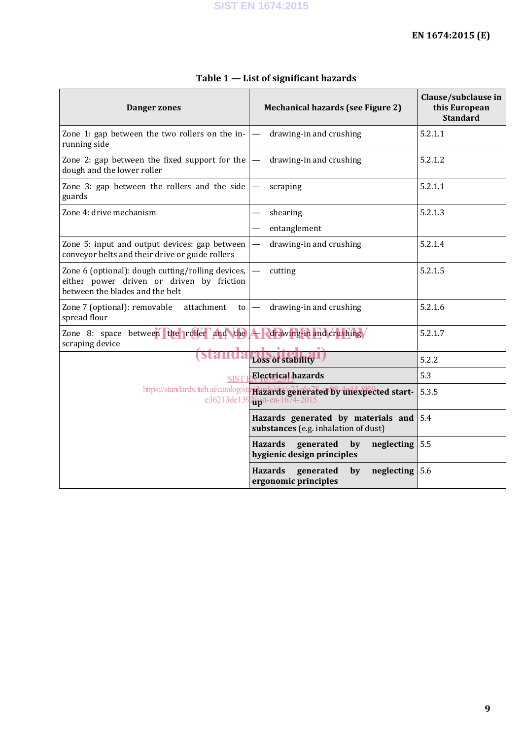| Danger zones                                                                                                                      | <b>Mechanical hazards (see Figure 2)</b>                                      | Clause/subclause in<br>this European<br><b>Standard</b> |  |
|-----------------------------------------------------------------------------------------------------------------------------------|-------------------------------------------------------------------------------|---------------------------------------------------------|--|
| Zone 1: gap between the two rollers on the in-<br>running side                                                                    | drawing-in and crushing                                                       | 5.2.1.1                                                 |  |
| Zone 2: gap between the fixed support for the<br>dough and the lower roller                                                       | drawing-in and crushing                                                       | 5.2.1.2                                                 |  |
| Zone 3: gap between the rollers and the side<br>guards                                                                            | scraping                                                                      | 5.2.1.1                                                 |  |
| Zone 4: drive mechanism                                                                                                           | shearing<br>entanglement                                                      | 5.2.1.3                                                 |  |
| Zone 5: input and output devices: gap between<br>conveyor belts and their drive or guide rollers                                  | drawing-in and crushing                                                       | 5.2.1.4                                                 |  |
| Zone 6 (optional): dough cutting/rolling devices,<br>either power driven or driven by friction<br>between the blades and the belt | cutting                                                                       | 5.2.1.5                                                 |  |
| Zone 7 (optional): removable attachment<br>to<br>spread flour                                                                     | drawing-in and crushing                                                       | 5.2.1.6                                                 |  |
| Zone 8: space between the roller and the $\left  \triangle \right $ drawing-in and crushing<br>scraping device                    |                                                                               | 5.2.1.7                                                 |  |
|                                                                                                                                   | Loss of stability                                                             | 5.2.2                                                   |  |
| <b>SIST</b>                                                                                                                       | <b>Electrical hazards</b>                                                     | 5.3                                                     |  |
| https://standards.iteh.ai/catalog/sta<br>e36213de139                                                                              | Hazards generated by unexpected start-<br>$2$ /sist-en-1674-2015              | 5.3.5                                                   |  |
|                                                                                                                                   | Hazards generated by materials and<br>substances (e.g. inhalation of dust)    | 5.4                                                     |  |
|                                                                                                                                   | <b>Hazards</b><br>generated<br>by<br>neglecting<br>hygienic design principles | 5.5                                                     |  |
|                                                                                                                                   | neglecting 5.6<br><b>Hazards</b><br>generated<br>by<br>ergonomic principles   |                                                         |  |

### **Table 1 — List of significant hazards**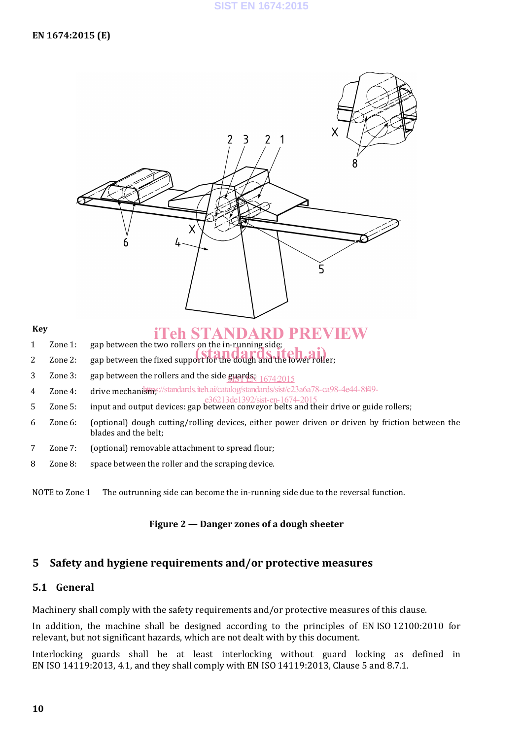|                |         | Χ<br>$\overline{2}$<br>2<br>3<br>5                                                                                       |
|----------------|---------|--------------------------------------------------------------------------------------------------------------------------|
| <b>Key</b>     |         |                                                                                                                          |
| 1              | Zone 1: | gap between the two rollers on the in-running side;                                                                      |
| $\overline{c}$ | Zone 2: | gap between the fixed support for the dough and the lower roller;                                                        |
| 3              | Zone 3: | gap between the rollers and the side guards;                                                                             |
| 4              | Zone 4: | drive mechanisms://standards.iteh.ai/catalog/standards/sist/c23a6a78-ca98-4e44-8f49-                                     |
| 5              | Zone 5: | e36213de1392/sist-en-1674-2015<br>input and output devices: gap between conveyor belts and their drive or guide rollers; |
| 6              | Zone 6: | (optional) dough cutting/rolling devices, either power driven or driven by friction between the<br>blades and the belt;  |
| 7              | Zone 7: | (optional) removable attachment to spread flour;                                                                         |
| 8              | Zone 8: | space between the roller and the scraping device.                                                                        |

NOTE to Zone 1 The outrunning side can become the in-running side due to the reversal function.

**Figure 2 — Danger zones of a dough sheeter**

#### **5 Safety and hygiene requirements and/or protective measures**

#### **5.1 General**

Machinery shall comply with the safety requirements and/or protective measures of this clause.

In addition, the machine shall be designed according to the principles of EN ISO 12100:2010 for relevant, but not significant hazards, which are not dealt with by this document.

Interlocking guards shall be at least interlocking without guard locking as defined in EN ISO 14119:2013, 4.1, and they shall comply with EN ISO 14119:2013, Clause 5 and 8.7.1.